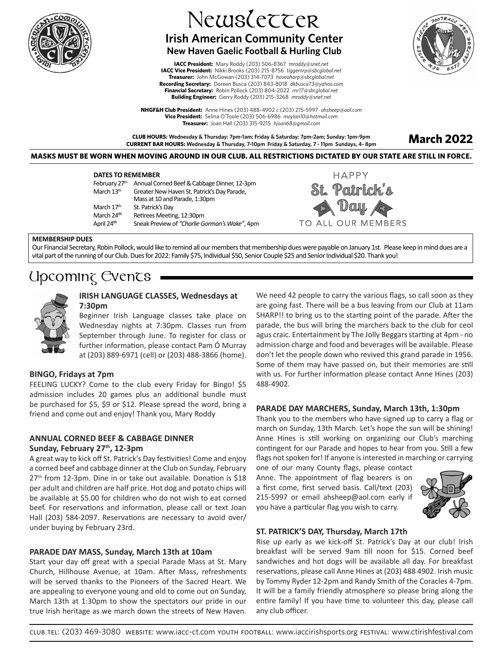

# Newsletter **Irish American Community Center New Haven Gaelic Football & Hurling Club**

**IACC President:** Mary Roddy (203) 506-8367 *mroddy@snet.net* **IACC Vice President:** Nikki Brooks (203) 215-8756 *tiggernrp@sbcglobal.net* **Treasurer:** John McGowan (203) 314-7073 *haveaharp@sbcglobal.net* **Recording Secretary:** Doreen Busca (203) 843-8018 *dkbusca73@yahoo.com* **Financial Secretary:** Robin Pollock (203) 804-2022 *rnr17@sbcglobal.net* **Building Engineer:** Gerry Roddy (203) 215-3268 *mroddy@snet.net*

**NHGF&H Club President:** Anne Hines (203) 488-4902 *c* (203) 215-5997 *ahsheep@aol.com* **Vice President:** Selina O'Toole (203) 506-6986 *moylan10@hotmail.com* **Treasurer:** Joan Hall (203) 315-9215 *hjoan68@gmail.com*

**CLUB HOURS: Wednesday & Thursday: 7pm-1am; Friday & Saturday: 7pm-2am; Sunday: 1pm-9pm CURRENT BAR HOURS: Wednesday & Thursday, 7-10pm Friday & Saturday, 7 - 11pm Sundays, 4- 8pm March 2022**

#### **MASKS MUST BE WORN WHEN MOVING AROUND IN OUR CLUB. ALL RESTRICTIONS DICTATED BY OUR STATE ARE STILL IN FORCE.**

#### **DATES TO REMEMBER**

| February 27th          | Annual Corned Beef & Cabbage Dinner, 12-3pm   |  |
|------------------------|-----------------------------------------------|--|
| March 13th             | Greater New Haven St. Patrick's Day Parade,   |  |
|                        | Mass at 10 and Parade, 1:30pm                 |  |
| March 17 <sup>th</sup> | St. Patrick's Day                             |  |
| March 24 <sup>th</sup> | Retirees Meeting, 12:30pm                     |  |
| April 24 <sup>th</sup> | Sneak Preview of "Charlie Gorman's Wake", 4pm |  |



#### **MEMBERSHIP DUES**

Our Financial Secretary, Robin Pollock, would like to remind all our members that membership dues were payable on January 1st. Please keep in mind dues are a vital part of the running of our Club. Dues for 2022: Family \$75, Individual \$50, Senior Couple \$25 and Senior Individual \$20. Thank you!

# Upcoming Events



## **IRISH LANGUAGE CLASSES, Wednesdays at 7:30pm**

Beginner Irish Language classes take place on Wednesday nights at 7:30pm. Classes run from September through June. To register for class or further information, please contact Pam Ó Murray at (203) 889-6971 (cell) or (203) 488-3866 (home).

## **BINGO, Fridays at 7pm**

FEELING LUCKY? Come to the club every Friday for Bingo! \$5 admission includes 20 games plus an additional bundle must be purchased for \$5, \$9 or \$12. Please spread the word, bring a friend and come out and enjoy! Thank you, Mary Roddy

## **ANNUAL CORNED BEEF & CABBAGE DINNER Sunday, February 27th, 12-3pm**

A great way to kick off St. Patrick's Day festivities! Come and enjoy a corned beef and cabbage dinner at the Club on Sunday, February 27<sup>th</sup> from 12-3pm. Dine in or take out available. Donation is \$18 per adult and children are half price. Hot dog and potato chips will be available at \$5.00 for children who do not wish to eat corned beef. For reservations and information, please call or text Joan Hall (203) 584-2097. Reservations are necessary to avoid over/ under buying by February 23rd.

## **PARADE DAY MASS, Sunday, March 13th at 10am**

Start your day off great with a special Parade Mass at St. Mary Church, Hillhouse Avenue, at 10am. After Mass, refreshments will be served thanks to the Pioneers of the Sacred Heart. We are appealing to everyone young and old to come out on Sunday, March 13th at 1:30pm to show the spectators our pride in our true Irish heritage as we march down the streets of New Haven.

We need 42 people to carry the various flags, so call soon as they are going fast. There will be a bus leaving from our Club at 11am SHARP!! to bring us to the starting point of the parade. After the parade, the bus will bring the marchers back to the club for ceol agus craic. Entertainment by The Jolly Beggars starting at 4pm - no admission charge and food and beverages will be available. Please don't let the people down who revived this grand parade in 1956. Some of them may have passed on, but their memories are still with us. For further information please contact Anne Hines (203) 488-4902.

#### **PARADE DAY MARCHERS, Sunday, March 13th, 1:30pm**

Thank you to the members who have signed up to carry a flag or march on Sunday, 13th March. Let's hope the sun will be shining! Anne Hines is still working on organizing our Club's marching contingent for our Parade and hopes to hear from you. Still a few flags not spoken for! If anyone is interested in marching or carrying

one of our many County flags, please contact Anne. The appointment of flag bearers is on a first come, first served basis. Call/text (203) 215-5997 or email ahsheep@aol.com early if you have a particular flag you wish to carry.



#### **ST. PATRICK'S DAY, Thursday, March 17th**

Rise up early as we kick-off St. Patrick's Day at our club! Irish breakfast will be served 9am till noon for \$15. Corned beef sandwiches and hot dogs will be available all day. For breakfast reservations, please call Anne Hines at (203) 488 4902. Irish music by Tommy Ryder 12-2pm and Randy Smith of the Coracles 4-7pm. It will be a family friendly atmosphere so please bring along the entire family! If you have time to volunteer this day, please call any club officer.

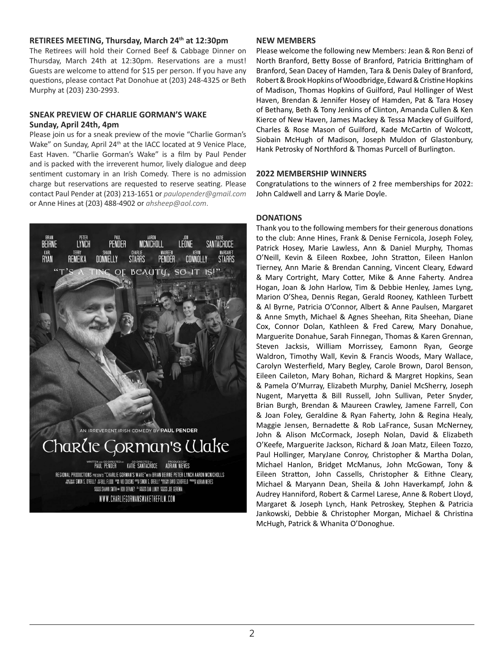## **RETIREES MEETING, Thursday, March 24th at 12:30pm**

The Retirees will hold their Corned Beef & Cabbage Dinner on Thursday, March 24th at 12:30pm. Reservations are a must! Guests are welcome to attend for \$15 per person. If you have any questions, please contact Pat Donohue at (203) 248-4325 or Beth Murphy at (203) 230-2993.

## **SNEAK PREVIEW OF CHARLIE GORMAN'S WAKE Sunday, April 24th, 4pm**

Please join us for a sneak preview of the movie "Charlie Gorman's Wake" on Sunday, April 24<sup>th</sup> at the IACC located at 9 Venice Place, East Haven. "Charlie Gorman's Wake" is a film by Paul Pender and is packed with the irreverent humor, lively dialogue and deep sentiment customary in an Irish Comedy. There is no admission charge but reservations are requested to reserve seating. Please contact Paul Pender at (203) 213-1651 or *[paulopender@gmail.com](mailto:paulopender@gmail.com)* or Anne Hines at (203) 488-4902 or *[ahsheep@aol.com](mailto:ahsheep@aol.com)*.



## **NEW MEMBERS**

Please welcome the following new Members: Jean & Ron Benzi of North Branford, Betty Bosse of Branford, Patricia Brittingham of Branford, Sean Dacey of Hamden, Tara & Denis Daley of Branford, Robert & Brook Hopkins of Woodbridge, Edward & Cristine Hopkins of Madison, Thomas Hopkins of Guilford, Paul Hollinger of West Haven, Brendan & Jennifer Hosey of Hamden, Pat & Tara Hosey of Bethany, Beth & Tony Jenkins of Clinton, Amanda Cullen & Ken Kierce of New Haven, James Mackey & Tessa Mackey of Guilford, Charles & Rose Mason of Guilford, Kade McCartin of Wolcott, Siobain McHugh of Madison, Joseph Muldon of Glastonbury, Hank Petrosky of Northford & Thomas Purcell of Burlington.

#### **2022 MEMBERSHIP WINNERS**

Congratulations to the winners of 2 free memberships for 2022: John Caldwell and Larry & Marie Doyle.

## **DONATIONS**

Thank you to the following members for their generous donations to the club: Anne Hines, Frank & Denise Fernicola, Joseph Foley, Patrick Hosey, Marie Lawless, Ann & Daniel Murphy, Thomas O'Neill, Kevin & Eileen Roxbee, John Stratton, Eileen Hanlon Tierney, Ann Marie & Brendan Canning, Vincent Cleary, Edward & Mary Cortright, Mary Cotter, Mike & Anne Faherty. Andrea Hogan, Joan & John Harlow, Tim & Debbie Henley, James Lyng, Marion O'Shea, Dennis Regan, Gerald Rooney, Kathleen Turbett & Al Byrne, Patricia O'Connor, Albert & Anne Paulsen, Margaret & Anne Smyth, Michael & Agnes Sheehan, Rita Sheehan, Diane Cox, Connor Dolan, Kathleen & Fred Carew, Mary Donahue, Marguerite Donahue, Sarah Finnegan, Thomas & Karen Grennan, Steven Jacksis, William Morrissey, Eamonn Ryan, George Waldron, Timothy Wall, Kevin & Francis Woods, Mary Wallace, Carolyn Westerfield, Mary Begley, Carole Brown, Darol Benson, Eileen Caileton, Mary Bohan, Richard & Margret Hopkins, Sean & Pamela O'Murray, Elizabeth Murphy, Daniel McSherry, Joseph Nugent, Maryetta & Bill Russell, John Sullivan, Peter Snyder, Brian Burgh, Brendan & Maureen Crawley, Jamene Farrell, Con & Joan Foley, Geraldine & Ryan Faherty, John & Regina Healy, Maggie Jensen, Bernadette & Rob LaFrance, Susan McNerney, John & Alison McCormack, Joseph Nolan, David & Elizabeth O'Keefe, Marguerite Jackson, Richard & Joan Matz, Eileen Tozzo, Paul Hollinger, MaryJane Conroy, Christopher & Martha Dolan, Michael Hanlon, Bridget McManus, John McGowan, Tony & Eileen Stratton, John Cassells, Christopher & Eithne Cleary, Michael & Maryann Dean, Sheila & John Haverkampf, John & Audrey Hanniford, Robert & Carmel Larese, Anne & Robert Lloyd, Margaret & Joseph Lynch, Hank Petroskey, Stephen & Patricia Jankowski, Debbie & Christopher Morgan, Michael & Christina McHugh, Patrick & Whanita O'Donoghue.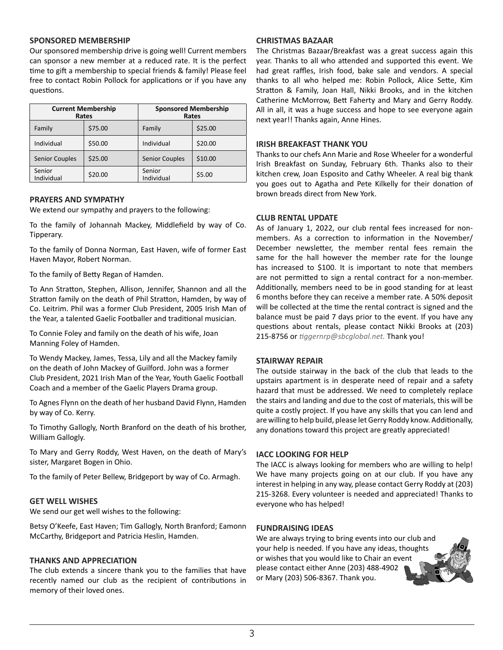#### **SPONSORED MEMBERSHIP**

Our sponsored membership drive is going well! Current members can sponsor a new member at a reduced rate. It is the perfect time to gift a membership to special friends & family! Please feel free to contact Robin Pollock for applications or if you have any questions.

| <b>Current Membership</b><br>Rates |         | <b>Sponsored Membership</b><br>Rates |         |
|------------------------------------|---------|--------------------------------------|---------|
| Family                             | \$75.00 | Family                               | \$25.00 |
| Individual                         | \$50.00 | Individual                           | \$20.00 |
| <b>Senior Couples</b>              | \$25.00 | <b>Senior Couples</b>                | \$10.00 |
| Senior<br>Individual               | \$20.00 | Senior<br>Individual                 | \$5.00  |

#### **PRAYERS AND SYMPATHY**

We extend our sympathy and prayers to the following:

To the family of Johannah Mackey, Middlefield by way of Co. Tipperary.

To the family of Donna Norman, East Haven, wife of former East Haven Mayor, Robert Norman.

To the family of Betty Regan of Hamden.

To Ann Stratton, Stephen, Allison, Jennifer, Shannon and all the Stratton family on the death of Phil Stratton, Hamden, by way of Co. Leitrim. Phil was a former Club President, 2005 Irish Man of the Year, a talented Gaelic Footballer and traditional musician.

To Connie Foley and family on the death of his wife, Joan Manning Foley of Hamden.

To Wendy Mackey, James, Tessa, Lily and all the Mackey family on the death of John Mackey of Guilford. John was a former Club President, 2021 Irish Man of the Year, Youth Gaelic Football Coach and a member of the Gaelic Players Drama group.

To Agnes Flynn on the death of her husband David Flynn, Hamden by way of Co. Kerry.

To Timothy Gallogly, North Branford on the death of his brother, William Gallogly.

To Mary and Gerry Roddy, West Haven, on the death of Mary's sister, Margaret Bogen in Ohio.

To the family of Peter Bellew, Bridgeport by way of Co. Armagh.

#### **GET WELL WISHES**

We send our get well wishes to the following:

Betsy O'Keefe, East Haven; Tim Gallogly, North Branford; Eamonn McCarthy, Bridgeport and Patricia Heslin, Hamden.

## **THANKS AND APPRECIATION**

The club extends a sincere thank you to the families that have recently named our club as the recipient of contributions in memory of their loved ones.

#### **CHRISTMAS BAZAAR**

The Christmas Bazaar/Breakfast was a great success again this year. Thanks to all who attended and supported this event. We had great raffles, Irish food, bake sale and vendors. A special thanks to all who helped me: Robin Pollock, Alice Sette, Kim Stratton & Family, Joan Hall, Nikki Brooks, and in the kitchen Catherine McMorrow, Bett Faherty and Mary and Gerry Roddy. All in all, it was a huge success and hope to see everyone again next year!! Thanks again, Anne Hines.

#### **IRISH BREAKFAST THANK YOU**

Thanks to our chefs Ann Marie and Rose Wheeler for a wonderful Irish Breakfast on Sunday, February 6th. Thanks also to their kitchen crew, Joan Esposito and Cathy Wheeler. A real big thank you goes out to Agatha and Pete Kilkelly for their donation of brown breads direct from New York.

#### **CLUB RENTAL UPDATE**

As of January 1, 2022, our club rental fees increased for nonmembers. As a correction to information in the November/ December newsletter, the member rental fees remain the same for the hall however the member rate for the lounge has increased to \$100. It is important to note that members are not permitted to sign a rental contract for a non-member. Additionally, members need to be in good standing for at least 6 months before they can receive a member rate. A 50% deposit will be collected at the time the rental contract is signed and the balance must be paid 7 days prior to the event. If you have any questions about rentals, please contact Nikki Brooks at (203) 215-8756 or *[tiggernrp@sbcglobal.net](mailto:tiggernrp@sbcglobal.net).* Thank you!

#### **STAIRWAY REPAIR**

The outside stairway in the back of the club that leads to the upstairs apartment is in desperate need of repair and a safety hazard that must be addressed. We need to completely replace the stairs and landing and due to the cost of materials, this will be quite a costly project. If you have any skills that you can lend and are willing to help build, please let Gerry Roddy know. Additionally, any donations toward this project are greatly appreciated!

#### **IACC LOOKING FOR HELP**

The IACC is always looking for members who are willing to help! We have many projects going on at our club. If you have any interest in helping in any way, please contact Gerry Roddy at (203) 215-3268. Every volunteer is needed and appreciated! Thanks to everyone who has helped!

## **FUNDRAISING IDEAS**

We are always trying to bring events into our club and your help is needed. If you have any ideas, thoughts or wishes that you would like to Chair an event please contact either Anne (203) 488-4902 or Mary (203) 506-8367. Thank you.